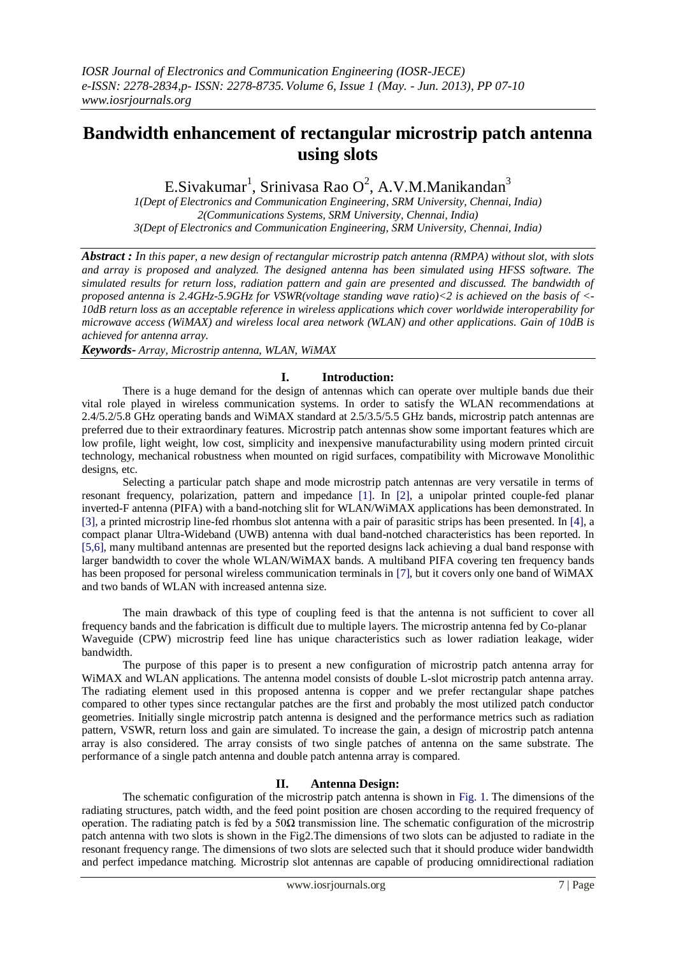# **Bandwidth enhancement of rectangular microstrip patch antenna using slots**

E.Sivakumar<sup>1</sup>, Srinivasa Rao O<sup>2</sup>, A.V.M.Manikandan<sup>3</sup>

*1(Dept of Electronics and Communication Engineering, SRM University, Chennai, India) 2(Communications Systems, SRM University, Chennai, India) 3(Dept of Electronics and Communication Engineering, SRM University, Chennai, India)*

*Abstract : In this paper, a new design of rectangular microstrip patch antenna (RMPA) without slot, with slots and array is proposed and analyzed. The designed antenna has been simulated using HFSS software. The simulated results for return loss, radiation pattern and gain are presented and discussed. The bandwidth of proposed antenna is 2.4GHz-5.9GHz for VSWR(voltage standing wave ratio)<2 is achieved on the basis of <- 10dB return loss as an acceptable reference in wireless applications which cover worldwide interoperability for microwave access (WiMAX) and wireless local area network (WLAN) and other applications. Gain of 10dB is achieved for antenna array.*

*Keywords- Array, Microstrip antenna, WLAN, WiMAX* 

#### **I. Introduction:**

There is a huge demand for the design of antennas which can operate over multiple bands due their vital role played in wireless communication systems. In order to satisfy the WLAN recommendations at 2.4/5.2/5.8 GHz operating bands and WiMAX standard at 2.5/3.5/5.5 GHz bands, microstrip patch antennas are preferred due to their extraordinary features. Microstrip patch antennas show some important features which are low profile, light weight, low cost, simplicity and inexpensive manufacturability using modern printed circuit technology, mechanical robustness when mounted on rigid surfaces, compatibility with Microwave Monolithic designs, etc.

Selecting a particular patch shape and mode microstrip patch antennas are very versatile in terms of resonant frequency, polarization, pattern and impedance [1]. In [2], a unipolar printed couple-fed planar inverted-F antenna (PIFA) with a band-notching slit for WLAN/WiMAX applications has been demonstrated. In [3], a printed microstrip line-fed rhombus slot antenna with a pair of parasitic strips has been presented. In [4], a compact planar Ultra-Wideband (UWB) antenna with dual band-notched characteristics has been reported. In [5,6], many multiband antennas are presented but the reported designs lack achieving a dual band response with larger bandwidth to cover the whole WLAN/WiMAX bands. A multiband PIFA covering ten frequency bands has been proposed for personal wireless communication terminals in [7], but it covers only one band of WiMAX and two bands of WLAN with increased antenna size.

The main drawback of this type of coupling feed is that the antenna is not sufficient to cover all frequency bands and the fabrication is difficult due to multiple layers. The microstrip antenna fed by Co-planar Waveguide (CPW) microstrip feed line has unique characteristics such as lower radiation leakage, wider bandwidth.

The purpose of this paper is to present a new configuration of microstrip patch antenna array for WiMAX and WLAN applications. The antenna model consists of double L-slot microstrip patch antenna array. The radiating element used in this proposed antenna is copper and we prefer rectangular shape patches compared to other types since rectangular patches are the first and probably the most utilized patch conductor geometries. Initially single microstrip patch antenna is designed and the performance metrics such as radiation pattern, VSWR, return loss and gain are simulated. To increase the gain, a design of microstrip patch antenna array is also considered. The array consists of two single patches of antenna on the same substrate. The performance of a single patch antenna and double patch antenna array is compared.

# **II. Antenna Design:**

The schematic configuration of the microstrip patch antenna is shown in Fig. 1. The dimensions of the radiating structures, patch width, and the feed point position are chosen according to the required frequency of operation. The radiating patch is fed by a  $50\Omega$  transmission line. The schematic configuration of the microstrip patch antenna with two slots is shown in the Fig2.The dimensions of two slots can be adjusted to radiate in the resonant frequency range. The dimensions of two slots are selected such that it should produce wider bandwidth and perfect impedance matching. Microstrip slot antennas are capable of producing omnidirectional radiation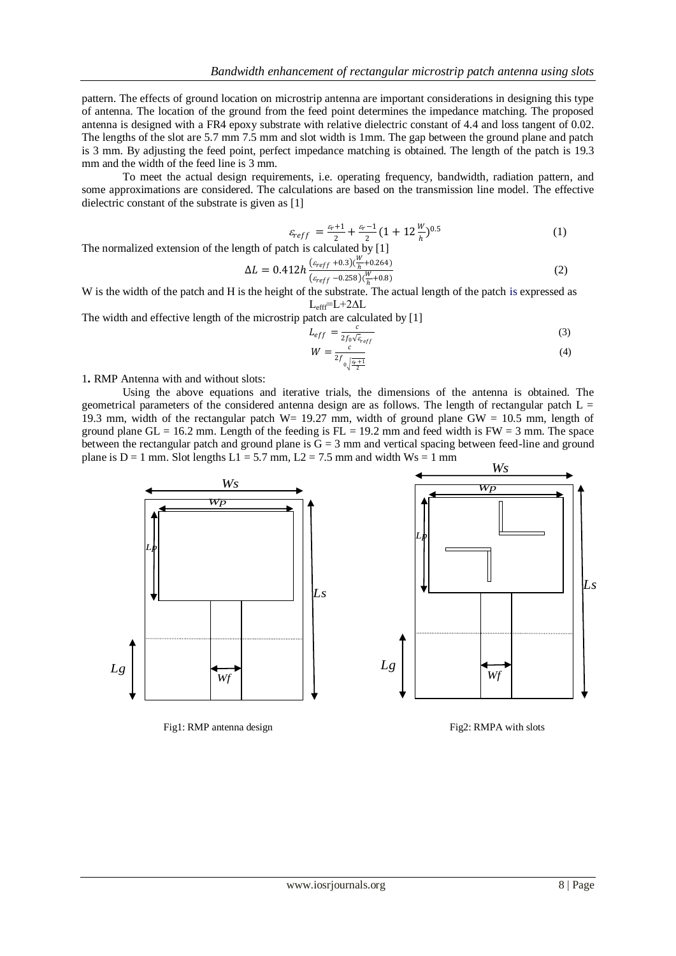pattern. The effects of ground location on microstrip antenna are important considerations in designing this type of antenna. The location of the ground from the feed point determines the impedance matching. The proposed antenna is designed with a FR4 epoxy substrate with relative dielectric constant of 4.4 and loss tangent of 0.02. The lengths of the slot are 5.7 mm 7.5 mm and slot width is 1mm. The gap between the ground plane and patch is 3 mm. By adjusting the feed point, perfect impedance matching is obtained. The length of the patch is 19.3 mm and the width of the feed line is 3 mm.

To meet the actual design requirements, i.e. operating frequency, bandwidth, radiation pattern, and some approximations are considered. The calculations are based on the transmission line model. The effective dielectric constant of the substrate is given as [1]

$$
\varepsilon_{reff} = \frac{\varepsilon_r + 1}{2} + \frac{\varepsilon_r - 1}{2} (1 + 12 \frac{W}{h})^{0.5}
$$
 (1)

The normalized extension of the length of patch is calculated by [1]

$$
\Delta L = 0.412h \frac{(\varepsilon_{reff} + 0.3)(\frac{W}{h} + 0.264)}{(\varepsilon_{reff} - 0.258)(\frac{W}{h} + 0.8)}
$$
(2)

W is the width of the patch and H is the height of the substrate. The actual length of the patch is expressed as Lefff=L+2∆L

The width and effective length of the microstrip patch are calculated by [1]

$$
L_{eff} = \frac{c}{2f_0\sqrt{\varepsilon_{reff}}}
$$
(3)  

$$
W = \frac{c}{\varepsilon}
$$
(4)

$$
W = \frac{c}{2f_{0\sqrt{\frac{\rho_{\text{r}}+1}{2}}}}\tag{4}
$$

1**.** RMP Antenna with and without slots:

Using the above equations and iterative trials, the dimensions of the antenna is obtained. The geometrical parameters of the considered antenna design are as follows. The length of rectangular patch  $L =$ 19.3 mm, width of the rectangular patch W= 19.27 mm, width of ground plane GW =  $10.5$  mm, length of ground plane GL = 16.2 mm. Length of the feeding is  $FL = 19.2$  mm and feed width is  $FW = 3$  mm. The space between the rectangular patch and ground plane is  $G = 3$  mm and vertical spacing between feed-line and ground plane is  $D = 1$  mm. Slot lengths  $L1 = 5.7$  mm,  $L2 = 7.5$  mm and width  $Ws = 1$  mm



Fig1: RMP antenna design Fig1: RMPA with slots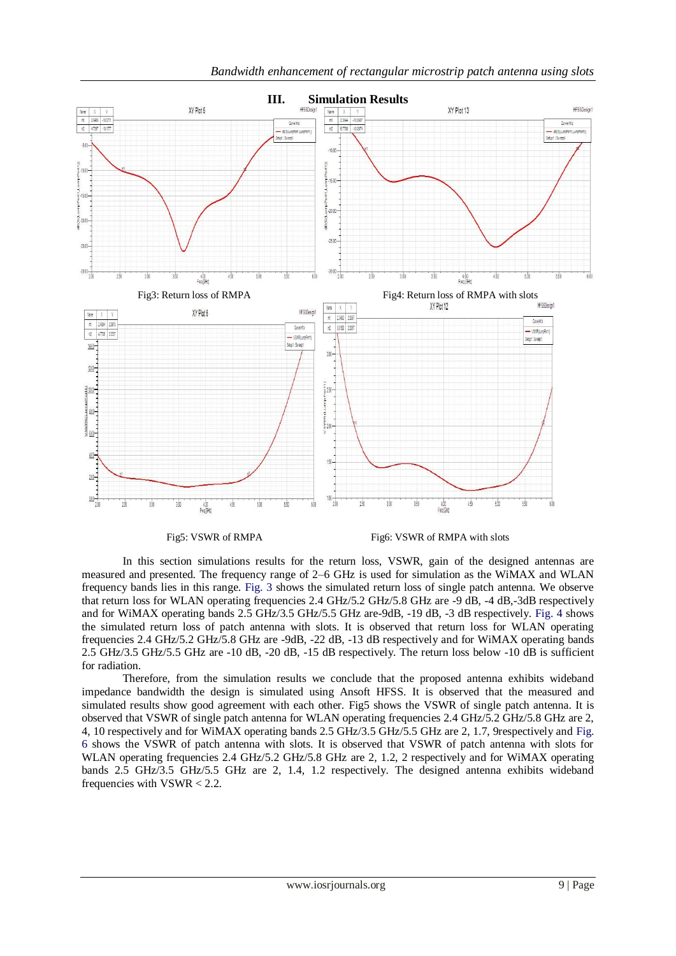

Fig5: VSWR of RMPA Fig6: VSWR of RMPA with slots

In this section simulations results for the return loss, VSWR, gain of the designed antennas are measured and presented. The frequency range of 2–6 GHz is used for simulation as the WiMAX and WLAN frequency bands lies in this range. Fig. 3 shows the simulated return loss of single patch antenna. We observe that return loss for WLAN operating frequencies 2.4 GHz/5.2 GHz/5.8 GHz are -9 dB, -4 dB,-3dB respectively and for WiMAX operating bands 2.5 GHz/3.5 GHz/5.5 GHz are-9dB, -19 dB, -3 dB respectively. Fig. 4 shows the simulated return loss of patch antenna with slots. It is observed that return loss for WLAN operating frequencies 2.4 GHz/5.2 GHz/5.8 GHz are -9dB, -22 dB, -13 dB respectively and for WiMAX operating bands 2.5 GHz/3.5 GHz/5.5 GHz are -10 dB, -20 dB, -15 dB respectively. The return loss below -10 dB is sufficient for radiation.

Therefore, from the simulation results we conclude that the proposed antenna exhibits wideband impedance bandwidth the design is simulated using Ansoft HFSS. It is observed that the measured and simulated results show good agreement with each other. Fig5 shows the VSWR of single patch antenna. It is observed that VSWR of single patch antenna for WLAN operating frequencies 2.4 GHz/5.2 GHz/5.8 GHz are 2, 4, 10 respectively and for WiMAX operating bands 2.5 GHz/3.5 GHz/5.5 GHz are 2, 1.7, 9respectively and Fig. 6 shows the VSWR of patch antenna with slots. It is observed that VSWR of patch antenna with slots for WLAN operating frequencies 2.4 GHz/5.2 GHz/5.8 GHz are 2, 1.2, 2 respectively and for WiMAX operating bands 2.5 GHz/3.5 GHz/5.5 GHz are 2, 1.4, 1.2 respectively. The designed antenna exhibits wideband frequencies with VSWR < 2.2.